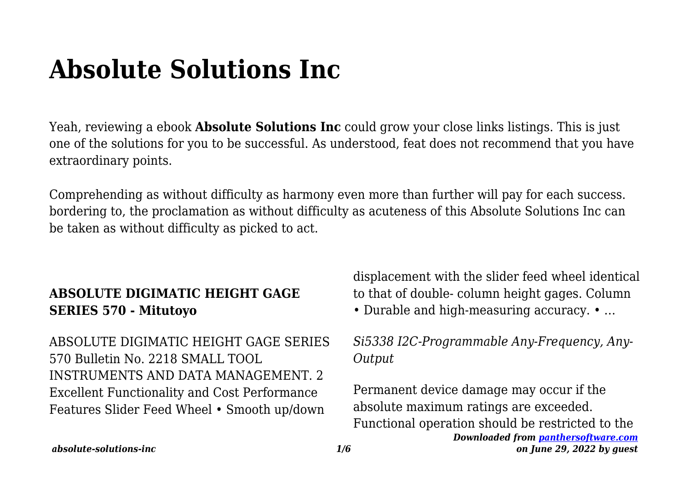# **Absolute Solutions Inc**

Yeah, reviewing a ebook **Absolute Solutions Inc** could grow your close links listings. This is just one of the solutions for you to be successful. As understood, feat does not recommend that you have extraordinary points.

Comprehending as without difficulty as harmony even more than further will pay for each success. bordering to, the proclamation as without difficulty as acuteness of this Absolute Solutions Inc can be taken as without difficulty as picked to act.

## **ABSOLUTE DIGIMATIC HEIGHT GAGE SERIES 570 - Mitutoyo**

ABSOLUTE DIGIMATIC HEIGHT GAGE SERIES 570 Bulletin No. 2218 SMALL TOOL INSTRUMENTS AND DATA MANAGEMENT. 2 Excellent Functionality and Cost Performance Features Slider Feed Wheel • Smooth up/down

displacement with the slider feed wheel identical to that of double- column height gages. Column • Durable and high-measuring accuracy. • …

*Si5338 I2C-Programmable Any-Frequency, Any-Output*

*Downloaded from [panthersoftware.com](http://panthersoftware.com) on June 29, 2022 by guest* Permanent device damage may occur if the absolute maximum ratings are exceeded. Functional operation should be restricted to the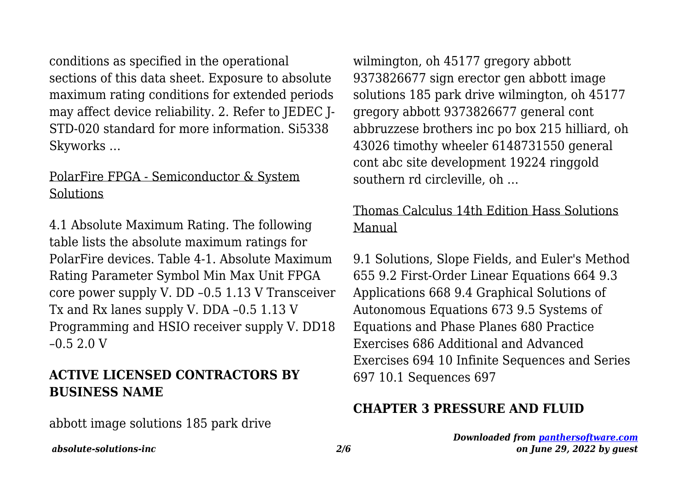conditions as specified in the operational sections of this data sheet. Exposure to absolute maximum rating conditions for extended periods may affect device reliability. 2. Refer to JEDEC J-STD-020 standard for more information. Si5338 Skyworks …

#### PolarFire FPGA - Semiconductor & System Solutions

4.1 Absolute Maximum Rating. The following table lists the absolute maximum ratings for PolarFire devices. Table 4-1. Absolute Maximum Rating Parameter Symbol Min Max Unit FPGA core power supply V. DD –0.5 1.13 V Transceiver Tx and Rx lanes supply V. DDA –0.5 1.13 V Programming and HSIO receiver supply V. DD18 –0.5 2.0 V

#### **ACTIVE LICENSED CONTRACTORS BY BUSINESS NAME**

abbott image solutions 185 park drive

wilmington, oh 45177 gregory abbott 9373826677 sign erector gen abbott image solutions 185 park drive wilmington, oh 45177 gregory abbott 9373826677 general cont abbruzzese brothers inc po box 215 hilliard, oh 43026 timothy wheeler 6148731550 general cont abc site development 19224 ringgold southern rd circleville, oh …

## Thomas Calculus 14th Edition Hass Solutions Manual

9.1 Solutions, Slope Fields, and Euler's Method 655 9.2 First-Order Linear Equations 664 9.3 Applications 668 9.4 Graphical Solutions of Autonomous Equations 673 9.5 Systems of Equations and Phase Planes 680 Practice Exercises 686 Additional and Advanced Exercises 694 10 Infinite Sequences and Series 697 10.1 Sequences 697

#### **CHAPTER 3 PRESSURE AND FLUID**

*Downloaded from [panthersoftware.com](http://panthersoftware.com) on June 29, 2022 by guest*

*absolute-solutions-inc 2/6*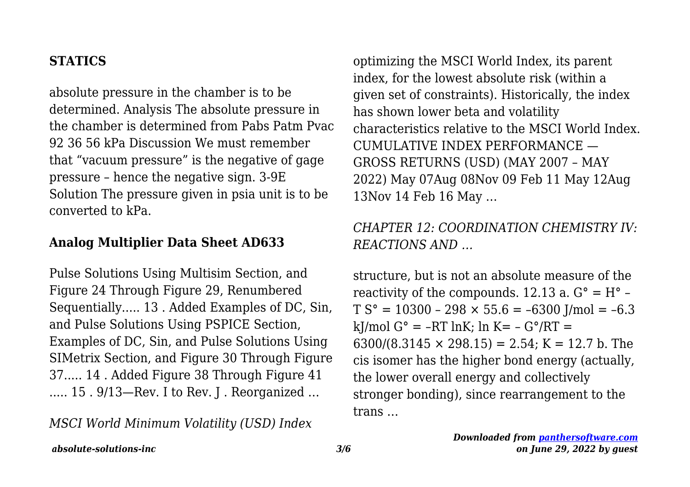#### **STATICS**

absolute pressure in the chamber is to be determined. Analysis The absolute pressure in the chamber is determined from Pabs Patm Pvac 92 36 56 kPa Discussion We must remember that "vacuum pressure" is the negative of gage pressure – hence the negative sign. 3-9E Solution The pressure given in psia unit is to be converted to kPa.

#### **Analog Multiplier Data Sheet AD633**

Pulse Solutions Using Multisim Section, and Figure 24 Through Figure 29, Renumbered Sequentially..... 13 . Added Examples of DC, Sin, and Pulse Solutions Using PSPICE Section, Examples of DC, Sin, and Pulse Solutions Using SIMetrix Section, and Figure 30 Through Figure 37..... 14 . Added Figure 38 Through Figure 41 ..... 15 . 9/13—Rev. I to Rev. J . Reorganized …

*MSCI World Minimum Volatility (USD) Index*

optimizing the MSCI World Index, its parent index, for the lowest absolute risk (within a given set of constraints). Historically, the index has shown lower beta and volatility characteristics relative to the MSCI World Index. CUMULATIVE INDEX PERFORMANCE — GROSS RETURNS (USD) (MAY 2007 – MAY 2022) May 07Aug 08Nov 09 Feb 11 May 12Aug 13Nov 14 Feb 16 May …

## *CHAPTER 12: COORDINATION CHEMISTRY IV: REACTIONS AND …*

structure, but is not an absolute measure of the reactivity of the compounds. 12.13 a.  $G^{\circ} = H^{\circ}$  –  $TS^{\circ} = 10300 - 298 \times 55.6 = -6300$  J/mol = -6.3 kJ/mol  $G^{\circ}$  = -RT lnK; ln K= -  $G^{\circ}/RT$  = 6300/(8.3145  $\times$  298.15) = 2.54; K = 12.7 b. The cis isomer has the higher bond energy (actually, the lower overall energy and collectively stronger bonding), since rearrangement to the trans …

*absolute-solutions-inc 3/6*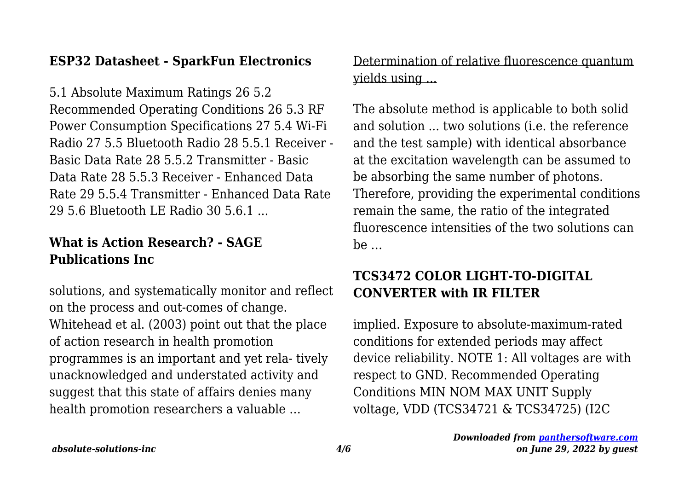#### **ESP32 Datasheet - SparkFun Electronics**

5.1 Absolute Maximum Ratings 26 5.2 Recommended Operating Conditions 26 5.3 RF Power Consumption Specifications 27 5.4 Wi-Fi Radio 27 5.5 Bluetooth Radio 28 5.5.1 Receiver - Basic Data Rate 28 5.5.2 Transmitter - Basic Data Rate 28 5.5.3 Receiver - Enhanced Data Rate 29 5.5.4 Transmitter - Enhanced Data Rate 29 5.6 Bluetooth LE Radio 30 5.6.1 ...

## **What is Action Research? - SAGE Publications Inc**

solutions, and systematically monitor and reflect on the process and out-comes of change. Whitehead et al. (2003) point out that the place of action research in health promotion programmes is an important and yet rela- tively unacknowledged and understated activity and suggest that this state of affairs denies many health promotion researchers a valuable …

Determination of relative fluorescence quantum yields using ...

The absolute method is applicable to both solid and solution ... two solutions (i.e. the reference and the test sample) with identical absorbance at the excitation wavelength can be assumed to be absorbing the same number of photons. Therefore, providing the experimental conditions remain the same, the ratio of the integrated fluorescence intensities of the two solutions can be …

# **TCS3472 COLOR LIGHT-TO-DIGITAL CONVERTER with IR FILTER**

implied. Exposure to absolute-maximum-rated conditions for extended periods may affect device reliability. NOTE 1: All voltages are with respect to GND. Recommended Operating Conditions MIN NOM MAX UNIT Supply voltage, VDD (TCS34721 & TCS34725) (I2C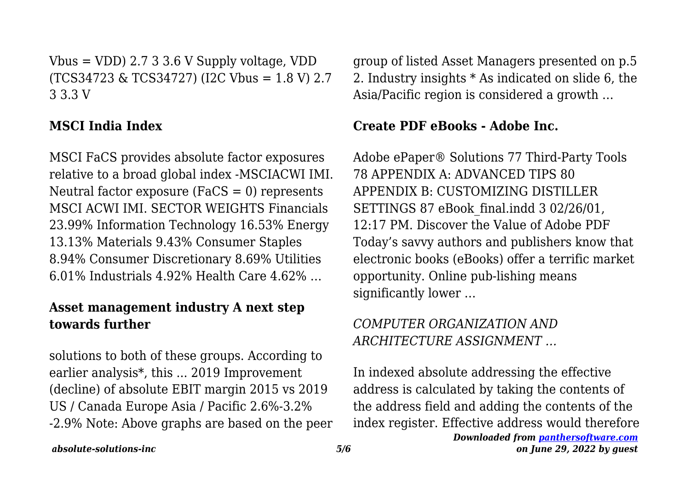Vbus = VDD)  $2.733.6$  V Supply voltage, VDD (TCS34723 & TCS34727) (I2C Vbus = 1.8 V) 2.7 3 3.3 V

## **MSCI India Index**

MSCI FaCS provides absolute factor exposures relative to a broad global index -MSCIACWI IMI. Neutral factor exposure ( $FACS = 0$ ) represents MSCI ACWI IMI. SECTOR WEIGHTS Financials 23.99% Information Technology 16.53% Energy 13.13% Materials 9.43% Consumer Staples 8.94% Consumer Discretionary 8.69% Utilities 6.01% Industrials 4.92% Health Care 4.62% …

## **Asset management industry A next step towards further**

solutions to both of these groups. According to earlier analysis\*, this ... 2019 Improvement (decline) of absolute EBIT margin 2015 vs 2019 US / Canada Europe Asia / Pacific 2.6%-3.2% -2.9% Note: Above graphs are based on the peer

group of listed Asset Managers presented on p.5 2. Industry insights \* As indicated on slide 6, the Asia/Pacific region is considered a growth …

#### **Create PDF eBooks - Adobe Inc.**

Adobe ePaper® Solutions 77 Third-Party Tools 78 APPENDIX A: ADVANCED TIPS 80 APPENDIX B: CUSTOMIZING DISTILLER SETTINGS 87 eBook final.indd 3 02/26/01, 12:17 PM. Discover the Value of Adobe PDF Today's savvy authors and publishers know that electronic books (eBooks) offer a terrific market opportunity. Online pub-lishing means significantly lower …

# *COMPUTER ORGANIZATION AND ARCHITECTURE ASSIGNMENT …*

In indexed absolute addressing the effective address is calculated by taking the contents of the address field and adding the contents of the index register. Effective address would therefore